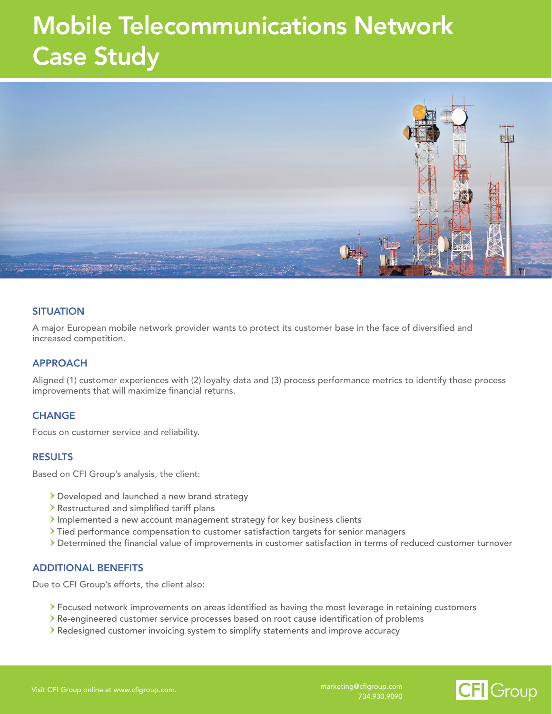## Mobile Telecommunications Network Case Study



## **SITUATION**

A major European mobile network provider wants to protect its customer base in the face of diversified and increased competition.

## APPROACH

Aligned (1) customer experiences with (2) loyalty data and (3) process performance metrics to identify those process improvements that will maximize financial returns.

## **CHANGE**

Focus on customer service and reliability.

#### RESULTS

Based on CFI Group's analysis, the client:

- Developed and launched a new brand strategy
- Restructured and simplified tariff plans
- Implemented a new account management strategy for key business clients
- Tied performance compensation to customer satisfaction targets for senior managers
- Determined the financial value of improvements in customer satisfaction in terms of reduced customer turnover

#### ADDITIONAL BENEFITS

Due to CFI Group's efforts, the client also:

- Focused network improvements on areas identified as having the most leverage in retaining customers
- Re-engineered customer service processes based on root cause identification of problems
- Redesigned customer invoicing system to simplify statements and improve accuracy